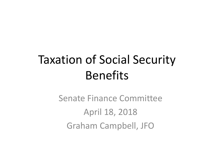# Taxation of Social Security Benefits

Senate Finance Committee April 18, 2018 Graham Campbell, JFO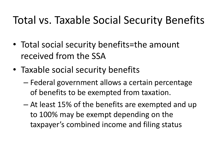#### Total vs. Taxable Social Security Benefits

- Total social security benefits=the amount received from the SSA
- Taxable social security benefits
	- Federal government allows a certain percentage of benefits to be exempted from taxation.
	- At least 15% of the benefits are exempted and up to 100% may be exempt depending on the taxpayer's combined income and filing status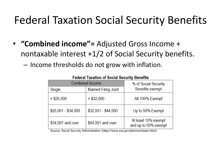#### Federal Taxation Social Security Benefits

- **"Combined income"=** Adjusted Gross Income + nontaxable interest +1/2 of Social Security benefits.
	- Income thresholds do not grow with inflation.

| <b>I cucial Taxation of Obelal Occurrity Deficitio</b> |                             |                                             |  |  |
|--------------------------------------------------------|-----------------------------|---------------------------------------------|--|--|
| <b>Combined Income</b>                                 | % of Social Security        |                                             |  |  |
| Single                                                 | <b>Married Filing Joint</b> | <b>Benefits exempt</b>                      |  |  |
| $<$ \$25,000                                           | $<$ \$32,000                | All 100% Exempt                             |  |  |
| $$25,001 - $34,000$                                    | $$32,001 - $44,000$         | Up to 50% Exempt                            |  |  |
| \$34,001 and over                                      | \$44,001 and over           | At least 15% exempt<br>and up to 50% exempt |  |  |

#### **Eadaral Tavation of Social Security Renafits**

Source: Social Security Administration (https://www.ssa.gov/planners/taxes.html)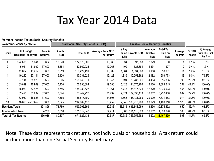#### Tax Year 2014 Data

**Vermont Income Tax on Social Security Benefits**

|                        | <b>Resident Details by Decile</b>             |                  |                           |                      | <b>Total Social Security Benefits (SSB)</b> |                                        | <b>Taxable Social Security Benefits</b> |                    |                                  |                                    |                            |                  |                                       |
|------------------------|-----------------------------------------------|------------------|---------------------------|----------------------|---------------------------------------------|----------------------------------------|-----------------------------------------|--------------------|----------------------------------|------------------------------------|----------------------------|------------------|---------------------------------------|
| <b>Decile</b>          | <b>AGI Range</b><br><b>Resident Taxpayers</b> |                  | Total #<br><b>Returns</b> | # with<br><b>SSB</b> | <b>Total SSB</b>                            | <b>Average Total SSB</b><br>per return | # Pay<br><b>SSB</b>                     | Tax on Taxable SSB | Average<br>Taxable<br><b>SSB</b> | Total Tax<br>Paid on<br><b>SSB</b> | Average<br><b>Tax Paid</b> | % SSB<br>Taxable | % Returns<br>with SSB that<br>Pay Tax |
|                        | Less than                                     | 5,041            | 37,604                    | 10,570               | 172,978,609                                 | 16,365                                 | 34                                      | 97,888             | 2,879                            | 30                                 |                            | $0.1\%$          | 0.3%                                  |
| 2                      | 5,041                                         | 11,692           | 37,603                    | 8,654                | 147,662,026                                 | 17,063                                 | 109                                     | 526,884            | 4,834                            | 227                                | 2                          | $0.4\%$          | 1.3%                                  |
| 3                      | 11,692                                        | 19,212           | 37,603                    | 8,219                | 150,427,491                                 | 18,302                                 | 1,584                                   | 1,834,908          | 1,158                            | 18,081                             | 11                         | 1.2%             | 19.3%                                 |
| 4                      | 19,212                                        | 27,144           | 37,603                    | 6,120                | 117,031,526                                 | 19,123                                 | 4,839                                   | 10,558,862         | 2,182                            | 208,773                            | 43                         | $9.0\%$          | 79.1%                                 |
| 5                      | 27,144                                        | 35,829           | 37,603                    | 5,266                | 105,040,871                                 | 19,947                                 | 5,194                                   | 23,283,001         | 4,483                            | 515,895                            | 99                         | 22.2%            | 98.6%                                 |
| 6                      | 35,829                                        | 46,969           | 37,603                    | 5,430                | 106,896,304                                 | 19,686                                 | 5,428                                   | 44,075,266         | 8,120                            | 1,368,645                          | 252                        | 41.2%            | 100.0%                                |
|                        | 46,969                                        | 62,426           | 37,603                    | 6,746                | 135,332,627                                 | 20,061                                 | 6,746                                   | 86,817,824         | 12,870                           | 3,075,923                          | 456                        | 64.2%            | 100.0%                                |
| 8                      | 62,426                                        | 83,939           | 37,603                    | 7,674                | 163,449,926                                 | 21,299                                 | 7,674                                   | 129,396,413        | 16,862                           | 5,232,468                          | 682                        | 79.2%            | 100.0%                                |
| 9                      | 83,939                                        | 118,823          | 37,603                    | 7,565                | 186,817,100                                 | 24,695                                 | 7,566                                   | 158,131,283        | 20,900                           | 7,371,453                          | 974                        | 84.6%            | 100.0%                                |
| 10                     |                                               | 118,823 and Over | 37,608                    | 7,545                | 214,669,110                                 | 28,452                                 | 7,545                                   | 180,918,760        | 23,979                           | 11,489,910                         | 1,523                      | 84.3%            | 100.0%                                |
| <b>Resident Totals</b> |                                               |                  | 321,806                   | 73,789               | 1,500,305,590                               | 20,332                                 | 46,719                                  | 635,641,089        | 13,606                           | 30,374,502                         | 650                        | 42.4%            | 63.3%                                 |
|                        | Non Resident Totals                           |                  | 54,230                    | 7,018                | 171,319,543                                 | 24,411                                 | 5,863                                   | 111,115,593        | 18,952                           | 1,093,096                          | 186                        | 64.9%            | 83.5%                                 |
|                        | <b>Total all Tax Returns</b>                  |                  | 376,036                   | 80,807               | ,671,625,133                                | 20,687                                 | 52,582                                  | 746,756,682        | 14,202                           | 31,467,599                         | 598                        | 44.7%            | 65.1%                                 |

Note: These data represent tax returns, not individuals or households. A tax return could include more than one Social Security Beneficiary.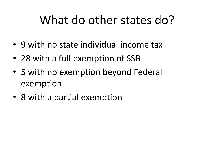## What do other states do?

- 9 with no state individual income tax
- 28 with a full exemption of SSB
- 5 with no exemption beyond Federal exemption
- 8 with a partial exemption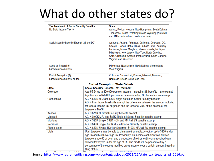## What do other states do?

| <b>Tax Treatment of Social Security Benefits</b> | <b>State</b>                                                                                                        |
|--------------------------------------------------|---------------------------------------------------------------------------------------------------------------------|
| No State Income Tax (9)                          | Alaska, Florida, Nevada, New Hampshire, South Dakota,                                                               |
|                                                  | Tennessee, Texas, Washington and Wyoming (Note NH<br>and TN tax interest and dividend income)                       |
| Social Security Benefits Exempt (28 and DC)      | Alabama, Arizona, Arkansas, California, Delaware, DC,<br>Georgia, Hawaii, Idaho, Illinois, Indiana, Iowa, Kentucky, |
|                                                  | Louisiana, Maine, Maryland, Massachusetts, Michigan,                                                                |
|                                                  | Mississippi, New Jersey, New York, North Carolina,<br>Ohio, Oklahoma, Oregon, Pennsylvania, South Carolina,         |
|                                                  | Virginia, and Wisconsin                                                                                             |
| Same as Federal (5)                              | Minnesota, New Mexico, North Dakota, Vermont and                                                                    |
| based on income level                            | West Virginia                                                                                                       |
| Partial Exemption (8)                            | Colorado, Connecticut, Kansas, Missouri, Montana,                                                                   |
| based on income level or age                     | Nebraska, Rhode Island, and Utah                                                                                    |

#### **Partial Exemption State Details**

| <b>State</b> | <b>Social Security Benefits Tax Treatment</b>                                    |
|--------------|----------------------------------------------------------------------------------|
| Colorado     | Age 55-64 up to \$20,000 pension income - including SS benefits -- are exempt.   |
|              | Age 65+ up to \$25,000 pension income - including SS benefits -- are exempt.     |
| Connecticut  | AGI < \$60K MFJ and \$50K single no tax on Social Security benefits              |
|              | AGI > than those thresholds exempt the difference between the amount included    |
|              | for federal income tax purposes and the lesser of 25% of the excess of the       |
|              | taxpayer's MAGI                                                                  |
| Kansas       | AGI < \$75K all Social Security benefits exempt                                  |
| Missouri     | AGI <\$100K MFJ and \$85K Single all Social Security benefits exempt             |
| Montana      | AGI < \$25K Single; \$32K HOH and MFJ all SS benefits exempt                     |
| Nebraska     | AGI < \$43K Single; \$58K MFJ all Social Security benefits exempt                |
| Rhode Island | AGI < \$80K Single; HOH or Separate; \$100K MFJ all SS benefits exempt           |
| Utah         | Utah taxpayers may be able to claim a retirement tax credit of up to \$450 under |
|              | age 65 and \$900 over age 65. Previously, an income exclusion was allowed        |
|              | taxpayers age 65 or over, and a deduction of retirement income received was      |
|              | allowed taxpayers under the age of 65. The credit will be phased out by a        |
|              | percentage of the excess modified gross income, over a certain amount based on   |
|              | filing status.                                                                   |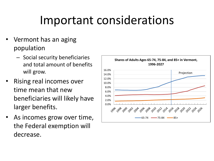## Important considerations

- Vermont has an aging population
	- Social security beneficiaries and total amount of benefits will grow.
- Rising real incomes over time mean that new beneficiaries will likely have larger benefits.
- As incomes grow over time, the Federal exemption will decrease.

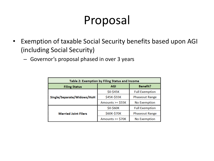## Proposal

- Exemption of taxable Social Security benefits based upon AGI (including Social Security)
	- Governor's proposal phased in over 3 years

| Table 2: Exemption by Filing Status and Income |                   |                       |  |  |  |
|------------------------------------------------|-------------------|-----------------------|--|--|--|
| <b>Filing Status</b>                           | <b>AGI</b>        | <b>Benefit?</b>       |  |  |  |
|                                                | \$0-\$45K         | <b>Full Exemption</b> |  |  |  |
| Single/Separate/Widows/HoH                     | \$45K-\$55K       | <b>Phaseout Range</b> |  |  |  |
|                                                | Amounts $>= $55K$ | No Exemption          |  |  |  |
|                                                | \$0-\$60K         | <b>Full Exemption</b> |  |  |  |
| <b>Married Joint Filers</b>                    | \$60K-\$70K       | <b>Phaseout Range</b> |  |  |  |
|                                                | Amounts $>= $70K$ | <b>No Exemption</b>   |  |  |  |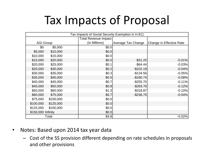## Tax Impacts of Proposal

| Tax Impacts of Social Security Exemption in H.911 |           |                             |                    |                          |  |
|---------------------------------------------------|-----------|-----------------------------|--------------------|--------------------------|--|
|                                                   |           | <b>Total Revenue Impact</b> |                    |                          |  |
| <b>AGI Group</b>                                  |           | (in Millions)               | Average Tax Change | Change in Effective Rate |  |
| \$0                                               | \$5,000   | \$0.0                       |                    |                          |  |
| \$5,000                                           | \$10,000  | \$0.0                       |                    |                          |  |
| \$10,000                                          | \$15,000  | \$0.0                       |                    |                          |  |
| \$15,000                                          | \$20,000  | \$0.0                       | $-$ \$31.25        | $-0.01%$                 |  |
| \$20,000                                          | \$25,000  | \$0.1                       | $-$ \$64.44        | $-0.03%$                 |  |
| \$25,000                                          | \$30,000  | \$0.2                       | $-$102.19$         | $-0.04%$                 |  |
| \$30,000                                          | \$35,000  | \$0.3                       | $-$134.56$         | $-0.05%$                 |  |
| \$35,000                                          | \$40,000  | \$0.5                       | $-$180.74$         | $-0.08%$                 |  |
| \$40,000                                          | \$45,000  | \$0.7                       | $-$ \$255.70       | $-0.11%$                 |  |
| \$45,000                                          | \$50,000  | \$0.8                       | $-$ \$293.70       | $-0.12%$                 |  |
| \$50,000                                          | \$60,000  | \$1.3                       | $-$ \$318.87       | $-0.10%$                 |  |
| \$60,000                                          | \$75,000  | \$0.7                       | $-$236.75$         | $-0.04%$                 |  |
| \$75,000                                          | \$100,000 | \$0.0                       |                    |                          |  |
| \$100,000                                         | \$125,000 | \$0.0                       |                    |                          |  |
| \$125,000                                         | \$150,000 | \$0.0                       |                    |                          |  |
| \$150,000 Infinity                                |           | \$0.0                       |                    |                          |  |
| Total                                             |           | \$4.8                       |                    | $-0.02%$                 |  |

- Notes: Based upon 2014 tax year data
	- Cost of the SS provision different depending on rate schedules in proposals and other provisions